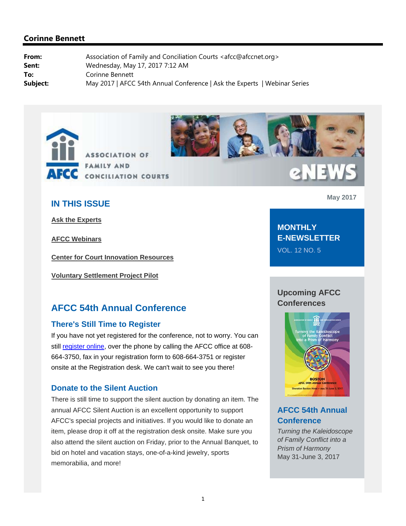



# **IN THIS ISSUE**

**Ask the Experts**

**AFCC Webinars**

**Center for Court Innovation Resources**

**Voluntary Settlement Project Pilot**

## **AFCC 54th Annual Conference**

#### **There's Still Time to Register**

If you have not yet registered for the conference, not to worry. You can still register online, over the phone by calling the AFCC office at 608- 664-3750, fax in your registration form to 608-664-3751 or register onsite at the Registration desk. We can't wait to see you there!

#### **Donate to the Silent Auction**

There is still time to support the silent auction by donating an item. The annual AFCC Silent Auction is an excellent opportunity to support AFCC's special projects and initiatives. If you would like to donate an item, please drop it off at the registration desk onsite. Make sure you also attend the silent auction on Friday, prior to the Annual Banquet, to bid on hotel and vacation stays, one-of-a-kind jewelry, sports memorabilia, and more!

**May 2017**

**MONTHLY E-NEWSLETTER**

**eNEWS** 

VOL. 12 NO. 5

### **Upcoming AFCC Conferences**



# **AFCC 54th Annual Conference**

*Turning the Kaleidoscope of Family Conflict into a Prism of Harmony*  May 31-June 3, 2017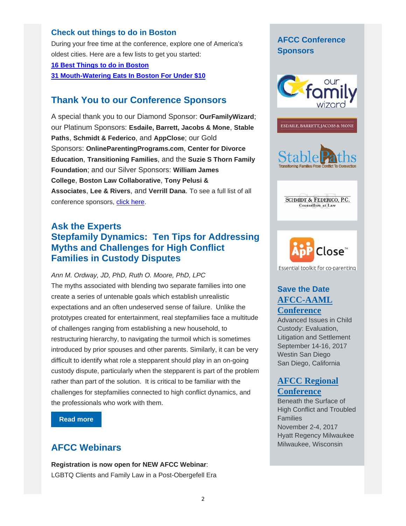#### **Check out things to do in Boston**

During your free time at the conference, explore one of America's oldest cities. Here are a few lists to get you started:

**16 Best Things to do in Boston** 

**31 Mouth-Watering Eats In Boston For Under \$10**

## **Thank You to our Conference Sponsors**

A special thank you to our Diamond Sponsor: **OurFamilyWizard**; our Platinum Sponsors: **Esdaile, Barrett, Jacobs & Mone**, **Stable Paths**, **Schmidt & Federico**, and **AppClose**; our Gold Sponsors: **OnlineParentingPrograms.com**, **Center for Divorce Education**, **Transitioning Families**, and the **Suzie S Thorn Family Foundation**; and our Silver Sponsors: **William James College**, **Boston Law Collaborative**, **Tony Pelusi & Associates**, **Lee & Rivers**, and **Verrill Dana**. To see a full list of all conference sponsors, click here.

## **Ask the Experts Stepfamily Dynamics: Ten Tips for Addressing Myths and Challenges for High Conflict Families in Custody Disputes**

*Ann M. Ordway, JD, PhD, Ruth O. Moore, PhD, LPC* 

The myths associated with blending two separate families into one create a series of untenable goals which establish unrealistic expectations and an often undeserved sense of failure. Unlike the prototypes created for entertainment, real stepfamilies face a multitude of challenges ranging from establishing a new household, to restructuring hierarchy, to navigating the turmoil which is sometimes introduced by prior spouses and other parents. Similarly, it can be very difficult to identify what role a stepparent should play in an on-going custody dispute, particularly when the stepparent is part of the problem rather than part of the solution. It is critical to be familiar with the challenges for stepfamilies connected to high conflict dynamics, and the professionals who work with them.

**Read more** 

# **AFCC Webinars**

**Registration is now open for NEW AFCC Webinar**: LGBTQ Clients and Family Law in a Post-Obergefell Era

### **AFCC Conference Sponsors**





**SCHMIDT & FEDERICO, P.C.** Counsellors at Law



## **Save the Date AFCC-AAML Conference**

Advanced Issues in Child Custody: Evaluation, Litigation and Settlement September 14-16, 2017 Westin San Diego San Diego, California

### **AFCC Regional Conference**

Beneath the Surface of High Conflict and Troubled Families November 2-4, 2017 Hyatt Regency Milwaukee Milwaukee, Wisconsin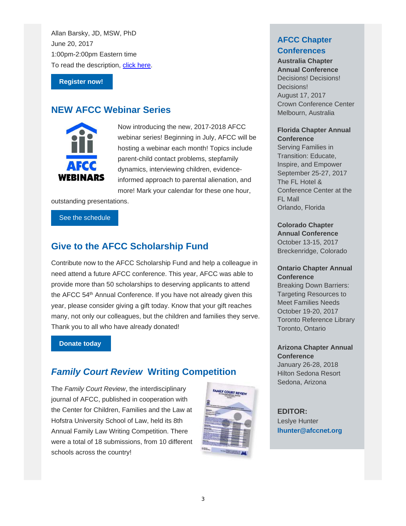Allan Barsky, JD, MSW, PhD June 20, 2017 1:00pm-2:00pm Eastern time To read the description, click here.

**Register now!** 

# **NEW AFCC Webinar Series**



Now introducing the new, 2017-2018 AFCC webinar series! Beginning in July, AFCC will be hosting a webinar each month! Topics include parent-child contact problems, stepfamily dynamics, interviewing children, evidenceinformed approach to parental alienation, and more! Mark your calendar for these one hour,

outstanding presentations.

#### See the schedule

# **Give to the AFCC Scholarship Fund**

Contribute now to the AFCC Scholarship Fund and help a colleague in need attend a future AFCC conference. This year, AFCC was able to provide more than 50 scholarships to deserving applicants to attend the AFCC 54<sup>th</sup> Annual Conference. If you have not already given this year, please consider giving a gift today. Know that your gift reaches many, not only our colleagues, but the children and families they serve. Thank you to all who have already donated!

#### **Donate today**

# *Family Court Review* **Writing Competition**

The *Family Court Review*, the interdisciplinary journal of AFCC, published in cooperation with the Center for Children, Families and the Law at Hofstra University School of Law, held its 8th Annual Family Law Writing Competition. There were a total of 18 submissions, from 10 different schools across the country!



### **AFCC Chapter Conferences**

**Australia Chapter Annual Conference** 

Decisions! Decisions! Decisions! August 17, 2017 Crown Conference Center Melbourn, Australia

#### **Florida Chapter Annual Conference**

Serving Families in Transition: Educate, Inspire, and Empower September 25-27, 2017 The FL Hotel & Conference Center at the FL Mall Orlando, Florida

#### **Colorado Chapter**

**Annual Conference**  October 13-15, 2017 Breckenridge, Colorado

#### **Ontario Chapter Annual Conference**

Breaking Down Barriers: Targeting Resources to Meet Families Needs October 19-20, 2017 Toronto Reference Library Toronto, Ontario

**Arizona Chapter Annual Conference**  January 26-28, 2018 Hilton Sedona Resort Sedona, Arizona

**EDITOR:** Leslye Hunter **lhunter@afccnet.org**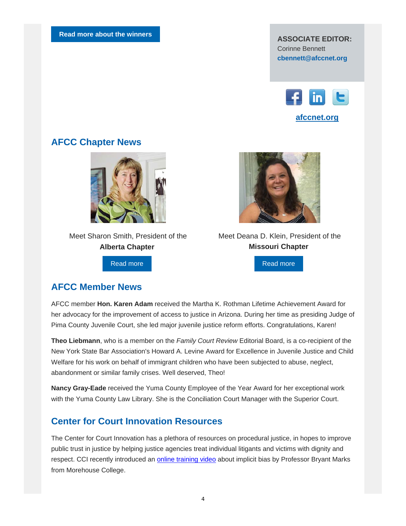Corinne Bennett **cbennett@afccnet.org**



### **AFCC Chapter News**



 Meet Sharon Smith, President of the **Alberta Chapter**

Read more



 Meet Deana D. Klein, President of the **Missouri Chapter**

Read more

### **AFCC Member News**

AFCC member **Hon. Karen Adam** received the Martha K. Rothman Lifetime Achievement Award for her advocacy for the improvement of access to justice in Arizona. During her time as presiding Judge of Pima County Juvenile Court, she led major juvenile justice reform efforts. Congratulations, Karen!

**Theo Liebmann**, who is a member on the *Family Court Review* Editorial Board, is a co-recipient of the New York State Bar Association's Howard A. Levine Award for Excellence in Juvenile Justice and Child Welfare for his work on behalf of immigrant children who have been subjected to abuse, neglect, abandonment or similar family crises. Well deserved, Theo!

**Nancy Gray-Eade** received the Yuma County Employee of the Year Award for her exceptional work with the Yuma County Law Library. She is the Conciliation Court Manager with the Superior Court.

## **Center for Court Innovation Resources**

The Center for Court Innovation has a plethora of resources on procedural justice, in hopes to improve public trust in justice by helping justice agencies treat individual litigants and victims with dignity and respect. CCI recently introduced an online training video about implicit bias by Professor Bryant Marks from Morehouse College.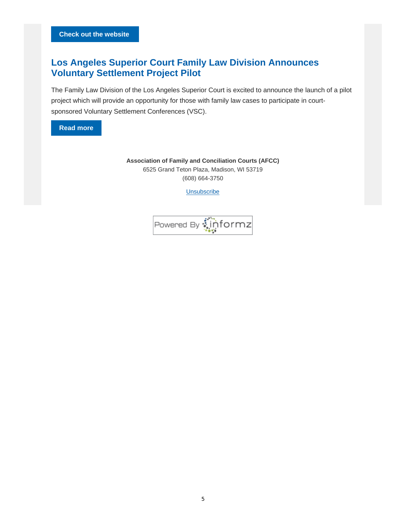# **Los Angeles Superior Court Family Law Division Announces Voluntary Settlement Project Pilot**

The Family Law Division of the Los Angeles Superior Court is excited to announce the launch of a pilot project which will provide an opportunity for those with family law cases to participate in courtsponsored Voluntary Settlement Conferences (VSC).



**Association of Family and Conciliation Courts (AFCC)** 6525 Grand Teton Plaza, Madison, WI 53719 (608) 664-3750

Unsubscribe

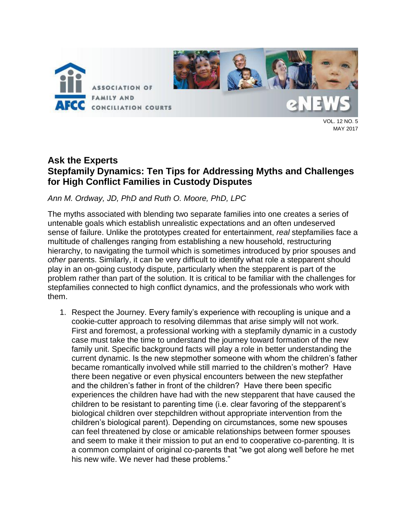

MAY 2017

# **Ask the Experts Stepfamily Dynamics: Ten Tips for Addressing Myths and Challenges for High Conflict Families in Custody Disputes**

### *Ann M. Ordway, JD, PhD and Ruth O. Moore, PhD, LPC*

The myths associated with blending two separate families into one creates a series of untenable goals which establish unrealistic expectations and an often undeserved sense of failure. Unlike the prototypes created for entertainment, *real* stepfamilies face a multitude of challenges ranging from establishing a new household, restructuring hierarchy, to navigating the turmoil which is sometimes introduced by prior spouses and *other* parents. Similarly, it can be very difficult to identify what role a stepparent should play in an on-going custody dispute, particularly when the stepparent is part of the problem rather than part of the solution. It is critical to be familiar with the challenges for stepfamilies connected to high conflict dynamics, and the professionals who work with them.

1. Respect the Journey. Every family's experience with recoupling is unique and a cookie-cutter approach to resolving dilemmas that arise simply will not work. First and foremost, a professional working with a stepfamily dynamic in a custody case must take the time to understand the journey toward formation of the new family unit. Specific background facts will play a role in better understanding the current dynamic. Is the new stepmother someone with whom the children's father became romantically involved while still married to the children's mother? Have there been negative or even physical encounters between the new stepfather and the children's father in front of the children? Have there been specific experiences the children have had with the new stepparent that have caused the children to be resistant to parenting time (i.e. clear favoring of the stepparent's biological children over stepchildren without appropriate intervention from the children's biological parent). Depending on circumstances, some new spouses can feel threatened by close or amicable relationships between former spouses and seem to make it their mission to put an end to cooperative co-parenting. It is a common complaint of original co-parents that "we got along well before he met his new wife. We never had these problems."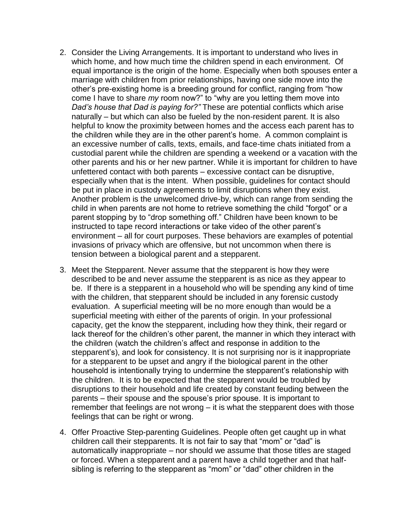- 2. Consider the Living Arrangements. It is important to understand who lives in which home, and how much time the children spend in each environment. Of equal importance is the origin of the home. Especially when both spouses enter a marriage with children from prior relationships, having one side move into the other's pre-existing home is a breeding ground for conflict, ranging from "how come I have to share *my* room now?" to "why are you letting them move into *Dad's house that Dad is paying for?"* These are potential conflicts which arise naturally – but which can also be fueled by the non-resident parent. It is also helpful to know the proximity between homes and the access each parent has to the children while they are in the other parent's home. A common complaint is an excessive number of calls, texts, emails, and face-time chats initiated from a custodial parent while the children are spending a weekend or a vacation with the other parents and his or her new partner. While it is important for children to have unfettered contact with both parents – excessive contact can be disruptive, especially when that is the intent. When possible, guidelines for contact should be put in place in custody agreements to limit disruptions when they exist. Another problem is the unwelcomed drive-by, which can range from sending the child in when parents are not home to retrieve something the child "forgot" or a parent stopping by to "drop something off." Children have been known to be instructed to tape record interactions or take video of the other parent's environment – all for court purposes. These behaviors are examples of potential invasions of privacy which are offensive, but not uncommon when there is tension between a biological parent and a stepparent.
- 3. Meet the Stepparent. Never assume that the stepparent is how they were described to be and never assume the stepparent is as nice as they appear to be. If there is a stepparent in a household who will be spending any kind of time with the children, that stepparent should be included in any forensic custody evaluation. A superficial meeting will be no more enough than would be a superficial meeting with either of the parents of origin. In your professional capacity, get the know the stepparent, including how they think, their regard or lack thereof for the children's other parent, the manner in which they interact with the children (watch the children's affect and response in addition to the stepparent's), and look for consistency. It is not surprising nor is it inappropriate for a stepparent to be upset and angry if the biological parent in the other household is intentionally trying to undermine the stepparent's relationship with the children. It is to be expected that the stepparent would be troubled by disruptions to their household and life created by constant feuding between the parents – their spouse and the spouse's prior spouse. It is important to remember that feelings are not wrong – it is what the stepparent does with those feelings that can be right or wrong.
- 4. Offer Proactive Step-parenting Guidelines. People often get caught up in what children call their stepparents. It is not fair to say that "mom" or "dad" is automatically inappropriate – nor should we assume that those titles are staged or forced. When a stepparent and a parent have a child together and that halfsibling is referring to the stepparent as "mom" or "dad" other children in the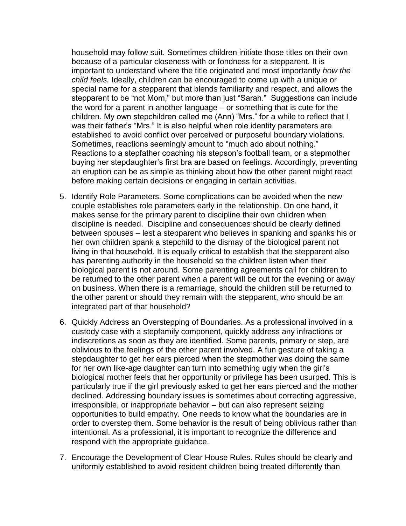household may follow suit. Sometimes children initiate those titles on their own because of a particular closeness with or fondness for a stepparent. It is important to understand where the title originated and most importantly *how the child feels.* Ideally, children can be encouraged to come up with a unique or special name for a stepparent that blends familiarity and respect, and allows the stepparent to be "not Mom," but more than just "Sarah." Suggestions can include the word for a parent in another language – or something that is cute for the children. My own stepchildren called me (Ann) "Mrs." for a while to reflect that I was their father's "Mrs." It is also helpful when role identity parameters are established to avoid conflict over perceived or purposeful boundary violations. Sometimes, reactions seemingly amount to "much ado about nothing." Reactions to a stepfather coaching his stepson's football team, or a stepmother buying her stepdaughter's first bra are based on feelings. Accordingly, preventing an eruption can be as simple as thinking about how the other parent might react before making certain decisions or engaging in certain activities.

- 5. Identify Role Parameters. Some complications can be avoided when the new couple establishes role parameters early in the relationship. On one hand, it makes sense for the primary parent to discipline their own children when discipline is needed. Discipline and consequences should be clearly defined between spouses – lest a stepparent who believes in spanking and spanks his or her own children spank a stepchild to the dismay of the biological parent not living in that household. It is equally critical to establish that the stepparent also has parenting authority in the household so the children listen when their biological parent is not around. Some parenting agreements call for children to be returned to the other parent when a parent will be out for the evening or away on business. When there is a remarriage, should the children still be returned to the other parent or should they remain with the stepparent, who should be an integrated part of that household?
- 6. Quickly Address an Overstepping of Boundaries. As a professional involved in a custody case with a stepfamily component, quickly address any infractions or indiscretions as soon as they are identified. Some parents, primary or step, are oblivious to the feelings of the other parent involved. A fun gesture of taking a stepdaughter to get her ears pierced when the stepmother was doing the same for her own like-age daughter can turn into something ugly when the girl's biological mother feels that her opportunity or privilege has been usurped. This is particularly true if the girl previously asked to get her ears pierced and the mother declined. Addressing boundary issues is sometimes about correcting aggressive, irresponsible, or inappropriate behavior – but can also represent seizing opportunities to build empathy. One needs to know what the boundaries are in order to overstep them. Some behavior is the result of being oblivious rather than intentional. As a professional, it is important to recognize the difference and respond with the appropriate guidance.
- 7. Encourage the Development of Clear House Rules. Rules should be clearly and uniformly established to avoid resident children being treated differently than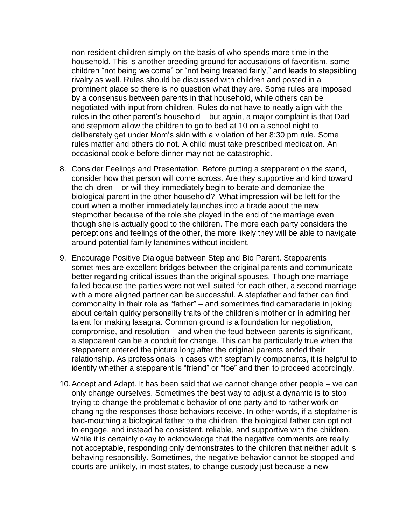non-resident children simply on the basis of who spends more time in the household. This is another breeding ground for accusations of favoritism, some children "not being welcome" or "not being treated fairly," and leads to stepsibling rivalry as well. Rules should be discussed with children and posted in a prominent place so there is no question what they are. Some rules are imposed by a consensus between parents in that household, while others can be negotiated with input from children. Rules do not have to neatly align with the rules in the other parent's household – but again, a major complaint is that Dad and stepmom allow the children to go to bed at 10 on a school night to deliberately get under Mom's skin with a violation of her 8:30 pm rule. Some rules matter and others do not. A child must take prescribed medication. An occasional cookie before dinner may not be catastrophic.

- 8. Consider Feelings and Presentation. Before putting a stepparent on the stand, consider how that person will come across. Are they supportive and kind toward the children – or will they immediately begin to berate and demonize the biological parent in the other household? What impression will be left for the court when a mother immediately launches into a tirade about the new stepmother because of the role she played in the end of the marriage even though she is actually good to the children. The more each party considers the perceptions and feelings of the other, the more likely they will be able to navigate around potential family landmines without incident.
- 9. Encourage Positive Dialogue between Step and Bio Parent. Stepparents sometimes are excellent bridges between the original parents and communicate better regarding critical issues than the original spouses. Though one marriage failed because the parties were not well-suited for each other, a second marriage with a more aligned partner can be successful. A stepfather and father can find commonality in their role as "father" – and sometimes find camaraderie in joking about certain quirky personality traits of the children's mother or in admiring her talent for making lasagna. Common ground is a foundation for negotiation, compromise, and resolution – and when the feud between parents is significant, a stepparent can be a conduit for change. This can be particularly true when the stepparent entered the picture long after the original parents ended their relationship. As professionals in cases with stepfamily components, it is helpful to identify whether a stepparent is "friend" or "foe" and then to proceed accordingly.
- 10.Accept and Adapt. It has been said that we cannot change other people we can only change ourselves. Sometimes the best way to adjust a dynamic is to stop trying to change the problematic behavior of one party and to rather work on changing the responses those behaviors receive. In other words, if a stepfather is bad-mouthing a biological father to the children, the biological father can opt not to engage, and instead be consistent, reliable, and supportive with the children. While it is certainly okay to acknowledge that the negative comments are really not acceptable, responding only demonstrates to the children that neither adult is behaving responsibly. Sometimes, the negative behavior cannot be stopped and courts are unlikely, in most states, to change custody just because a new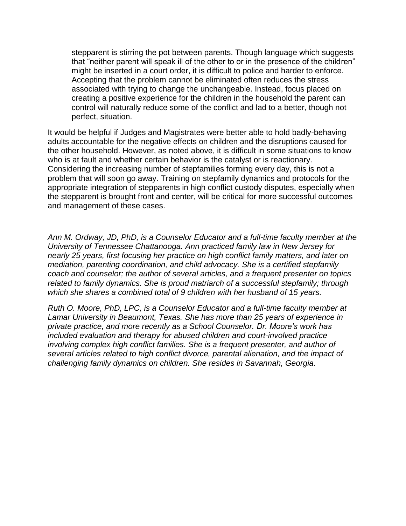stepparent is stirring the pot between parents. Though language which suggests that "neither parent will speak ill of the other to or in the presence of the children" might be inserted in a court order, it is difficult to police and harder to enforce. Accepting that the problem cannot be eliminated often reduces the stress associated with trying to change the unchangeable. Instead, focus placed on creating a positive experience for the children in the household the parent can control will naturally reduce some of the conflict and lad to a better, though not perfect, situation.

It would be helpful if Judges and Magistrates were better able to hold badly-behaving adults accountable for the negative effects on children and the disruptions caused for the other household. However, as noted above, it is difficult in some situations to know who is at fault and whether certain behavior is the catalyst or is reactionary. Considering the increasing number of stepfamilies forming every day, this is not a problem that will soon go away. Training on stepfamily dynamics and protocols for the appropriate integration of stepparents in high conflict custody disputes, especially when the stepparent is brought front and center, will be critical for more successful outcomes and management of these cases.

*Ann M. Ordway, JD, PhD, is a Counselor Educator and a full-time faculty member at the University of Tennessee Chattanooga. Ann practiced family law in New Jersey for nearly 25 years, first focusing her practice on high conflict family matters, and later on mediation, parenting coordination, and child advocacy. She is a certified stepfamily coach and counselor; the author of several articles, and a frequent presenter on topics related to family dynamics. She is proud matriarch of a successful stepfamily; through which she shares a combined total of 9 children with her husband of 15 years.*

*Ruth O. Moore, PhD, LPC, is a Counselor Educator and a full-time faculty member at Lamar University in Beaumont, Texas. She has more than 25 years of experience in private practice, and more recently as a School Counselor. Dr. Moore's work has included evaluation and therapy for abused children and court-involved practice involving complex high conflict families. She is a frequent presenter, and author of several articles related to high conflict divorce, parental alienation, and the impact of challenging family dynamics on children. She resides in Savannah, Georgia.*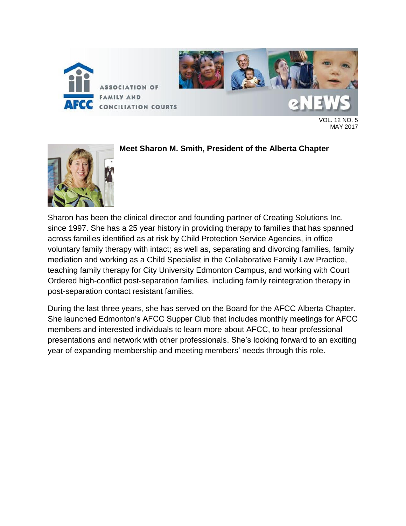

VOL. 12 NO. 5 MAY 2017



**Meet Sharon M. Smith, President of the Alberta Chapter**

Sharon has been the clinical director and founding partner of Creating Solutions Inc. since 1997. She has a 25 year history in providing therapy to families that has spanned across families identified as at risk by Child Protection Service Agencies, in office voluntary family therapy with intact; as well as, separating and divorcing families, family mediation and working as a Child Specialist in the Collaborative Family Law Practice, teaching family therapy for City University Edmonton Campus, and working with Court Ordered high-conflict post-separation families, including family reintegration therapy in post-separation contact resistant families.

During the last three years, she has served on the Board for the AFCC Alberta Chapter. She launched Edmonton's AFCC Supper Club that includes monthly meetings for AFCC members and interested individuals to learn more about AFCC, to hear professional presentations and network with other professionals. She's looking forward to an exciting year of expanding membership and meeting members' needs through this role.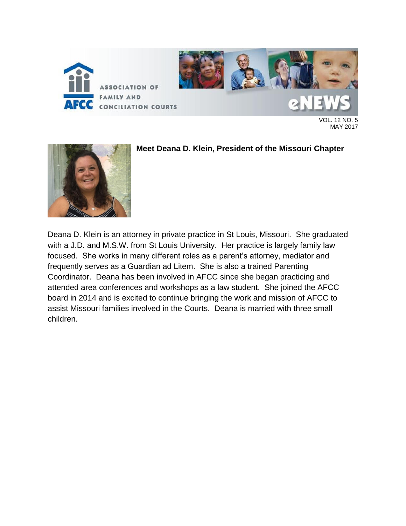

VOL. 12 NO. 5 MAY 2017



**Meet Deana D. Klein, President of the Missouri Chapter**

Deana D. Klein is an attorney in private practice in St Louis, Missouri. She graduated with a J.D. and M.S.W. from St Louis University. Her practice is largely family law focused. She works in many different roles as a parent's attorney, mediator and frequently serves as a Guardian ad Litem. She is also a trained Parenting Coordinator. Deana has been involved in AFCC since she began practicing and attended area conferences and workshops as a law student. She joined the AFCC board in 2014 and is excited to continue bringing the work and mission of AFCC to assist Missouri families involved in the Courts. Deana is married with three small children.